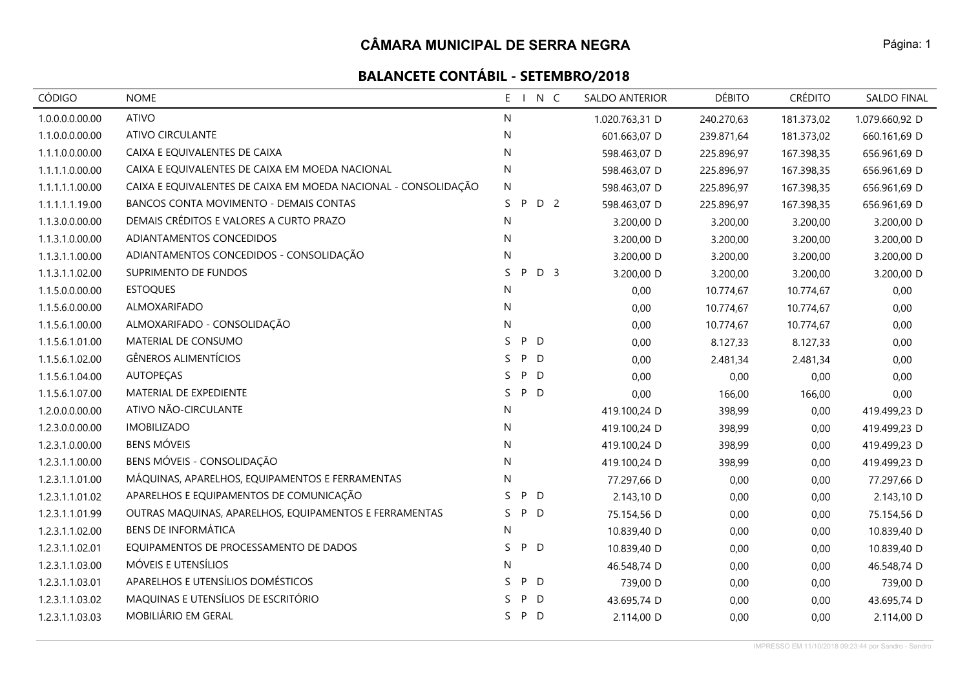| CÓDIGO          | <b>NOME</b>                                                    | N C<br>$E_{\perp}$        | <b>SALDO ANTERIOR</b> | <b>DÉBITO</b> | <b>CRÉDITO</b> | <b>SALDO FINAL</b> |
|-----------------|----------------------------------------------------------------|---------------------------|-----------------------|---------------|----------------|--------------------|
| 1.0.0.0.0.00.00 | <b>ATIVO</b>                                                   | N                         | 1.020.763,31 D        | 240.270,63    | 181.373,02     | 1.079.660,92 D     |
| 1.1.0.0.0.00.00 | ATIVO CIRCULANTE                                               | N                         | 601.663,07 D          | 239.871,64    | 181.373,02     | 660.161,69 D       |
| 1.1.1.0.0.00.00 | CAIXA E EQUIVALENTES DE CAIXA                                  | N                         | 598.463,07 D          | 225.896,97    | 167.398,35     | 656.961,69 D       |
| 1.1.1.1.0.00.00 | CAIXA E EQUIVALENTES DE CAIXA EM MOEDA NACIONAL                | N                         | 598.463,07 D          | 225.896,97    | 167.398,35     | 656.961,69 D       |
| 1.1.1.1.1.00.00 | CAIXA E EQUIVALENTES DE CAIXA EM MOEDA NACIONAL - CONSOLIDAÇÃO | N.                        | 598.463,07 D          | 225.896,97    | 167.398,35     | 656.961,69 D       |
| 1.1.1.1.1.19.00 | BANCOS CONTA MOVIMENTO - DEMAIS CONTAS                         | D 2<br>S.<br>P            | 598.463,07 D          | 225.896,97    | 167.398,35     | 656.961,69 D       |
| 1.1.3.0.0.00.00 | DEMAIS CRÉDITOS E VALORES A CURTO PRAZO                        | N                         | 3.200,00 D            | 3.200,00      | 3.200,00       | 3.200,00 D         |
| 1.1.3.1.0.00.00 | ADIANTAMENTOS CONCEDIDOS                                       | ${\sf N}$                 | 3.200,00 D            | 3.200,00      | 3.200,00       | 3.200,00 D         |
| 1.1.3.1.1.00.00 | ADIANTAMENTOS CONCEDIDOS - CONSOLIDAÇÃO                        | N                         | 3.200,00 D            | 3.200,00      | 3.200,00       | 3.200,00 D         |
| 1.1.3.1.1.02.00 | SUPRIMENTO DE FUNDOS                                           | S.<br>D <sub>3</sub><br>P | 3.200,00 D            | 3.200,00      | 3.200,00       | 3.200,00 D         |
| 1.1.5.0.0.00.00 | <b>ESTOQUES</b>                                                | N                         | 0,00                  | 10.774,67     | 10.774,67      | 0,00               |
| 1.1.5.6.0.00.00 | ALMOXARIFADO                                                   | N                         | 0,00                  | 10.774,67     | 10.774,67      | 0,00               |
| 1.1.5.6.1.00.00 | ALMOXARIFADO - CONSOLIDAÇÃO                                    | N                         | 0,00                  | 10.774,67     | 10.774,67      | 0,00               |
| 1.1.5.6.1.01.00 | MATERIAL DE CONSUMO                                            | P D<br>S.                 | 0,00                  | 8.127,33      | 8.127,33       | 0,00               |
| 1.1.5.6.1.02.00 | <b>GÊNEROS ALIMENTÍCIOS</b>                                    | S<br>P D                  | 0,00                  | 2.481,34      | 2.481,34       | 0,00               |
| 1.1.5.6.1.04.00 | <b>AUTOPECAS</b>                                               | P D<br>S.                 | 0,00                  | 0,00          | 0,00           | 0,00               |
| 1.1.5.6.1.07.00 | MATERIAL DE EXPEDIENTE                                         | S.<br>P D                 | 0,00                  | 166,00        | 166,00         | 0,00               |
| 1.2.0.0.0.00.00 | ATIVO NÃO-CIRCULANTE                                           | N                         | 419.100,24 D          | 398,99        | 0,00           | 419.499,23 D       |
| 1.2.3.0.0.00.00 | <b>IMOBILIZADO</b>                                             | N                         | 419.100,24 D          | 398,99        | 0,00           | 419.499,23 D       |
| 1.2.3.1.0.00.00 | <b>BENS MÓVEIS</b>                                             | N                         | 419.100,24 D          | 398,99        | 0,00           | 419.499,23 D       |
| 1.2.3.1.1.00.00 | BENS MÓVEIS - CONSOLIDAÇÃO                                     | N                         | 419.100,24 D          | 398,99        | 0,00           | 419.499,23 D       |
| 1.2.3.1.1.01.00 | MÁQUINAS, APARELHOS, EQUIPAMENTOS E FERRAMENTAS                | N                         | 77.297,66 D           | 0,00          | 0,00           | 77.297,66 D        |
| 1.2.3.1.1.01.02 | APARELHOS E EQUIPAMENTOS DE COMUNICAÇÃO                        | P D<br>S.                 | 2.143,10 D            | 0,00          | 0,00           | 2.143,10 D         |
| 1.2.3.1.1.01.99 | OUTRAS MAQUINAS, APARELHOS, EQUIPAMENTOS E FERRAMENTAS         | S.<br>P D                 | 75.154,56 D           | 0,00          | 0,00           | 75.154,56 D        |
| 1.2.3.1.1.02.00 | <b>BENS DE INFORMÁTICA</b>                                     | N                         | 10.839,40 D           | 0,00          | 0,00           | 10.839,40 D        |
| 1.2.3.1.1.02.01 | EQUIPAMENTOS DE PROCESSAMENTO DE DADOS                         | P D<br>S                  | 10.839,40 D           | 0,00          | 0,00           | 10.839,40 D        |
| 1.2.3.1.1.03.00 | MÓVEIS E UTENSÍLIOS                                            | N                         | 46.548,74 D           | 0,00          | 0,00           | 46.548,74 D        |
| 1.2.3.1.1.03.01 | APARELHOS E UTENSÍLIOS DOMÉSTICOS                              | P D<br>S.                 | 739,00 D              | 0,00          | 0,00           | 739,00 D           |
| 1.2.3.1.1.03.02 | MAQUINAS E UTENSÍLIOS DE ESCRITÓRIO                            | P D<br>S.                 | 43.695,74 D           | 0,00          | 0,00           | 43.695,74 D        |
| 1.2.3.1.1.03.03 | MOBILIÁRIO EM GERAL                                            | S.<br>P<br>$\mathsf{D}$   | 2.114,00 D            | 0,00          | 0,00           | 2.114,00 D         |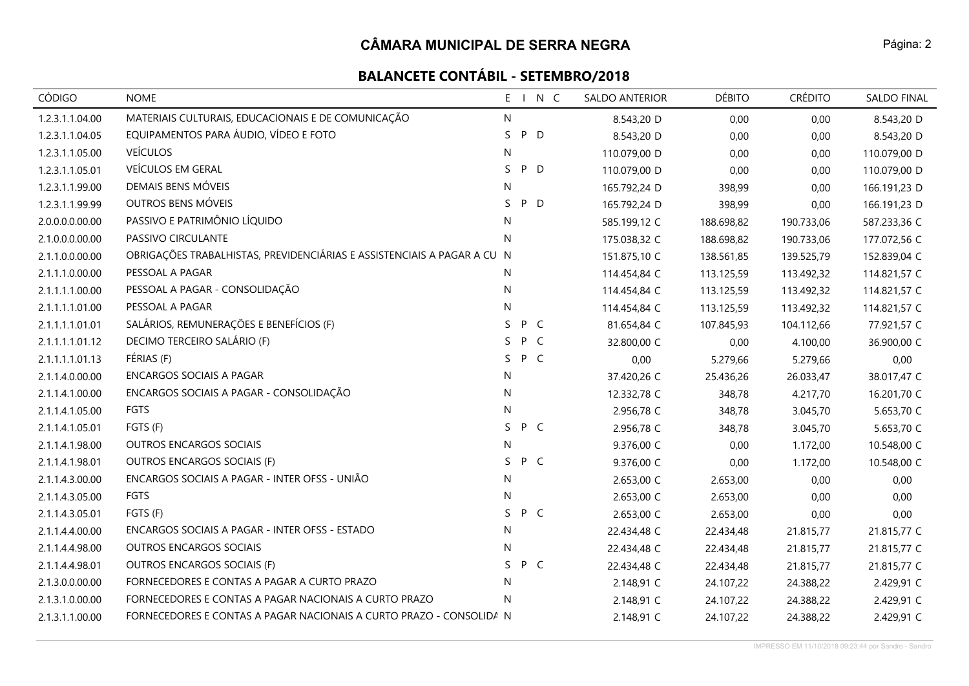# **BALANCETE CONTÁBIL - SETEMBRO/2018**

| <b>CÓDIGO</b>   | <b>NOME</b>                                                             |    |     | E I N C | <b>SALDO ANTERIOR</b> |            | <b>DÉBITO</b> | <b>CRÉDITO</b> | <b>SALDO FINAL</b> |
|-----------------|-------------------------------------------------------------------------|----|-----|---------|-----------------------|------------|---------------|----------------|--------------------|
| 1.2.3.1.1.04.00 | MATERIAIS CULTURAIS, EDUCACIONAIS E DE COMUNICAÇÃO                      | N  |     |         | 8.543,20 D            |            | 0,00          | 0,00           | 8.543,20 D         |
| 1.2.3.1.1.04.05 | EQUIPAMENTOS PARA ÁUDIO, VÍDEO E FOTO                                   | S. | P D |         | 8.543,20 D            |            | 0,00          | 0,00           | 8.543,20 D         |
| 1.2.3.1.1.05.00 | <b>VEÍCULOS</b>                                                         | N  |     |         | 110.079,00 D          |            | 0,00          | 0,00           | 110.079,00 D       |
| 1.2.3.1.1.05.01 | VEÍCULOS EM GERAL                                                       | S. | P D |         | 110.079,00 D          |            | 0,00          | 0,00           | 110.079,00 D       |
| 1.2.3.1.1.99.00 | DEMAIS BENS MÓVEIS                                                      | N  |     |         | 165.792,24 D          |            | 398,99        | 0,00           | 166.191,23 D       |
| 1.2.3.1.1.99.99 | OUTROS BENS MÓVEIS                                                      | S  | P D |         | 165.792,24 D          |            | 398,99        | 0,00           | 166.191,23 D       |
| 2.0.0.0.0.00.00 | PASSIVO E PATRIMÔNIO LÍQUIDO                                            | N  |     |         | 585.199,12 C          | 188.698,82 |               | 190.733,06     | 587.233,36 C       |
| 2.1.0.0.0.00.00 | PASSIVO CIRCULANTE                                                      | N  |     |         | 175.038,32 C          | 188.698,82 |               | 190.733,06     | 177.072,56 C       |
| 2.1.1.0.0.00.00 | OBRIGAÇÕES TRABALHISTAS, PREVIDENCIÁRIAS E ASSISTENCIAIS A PAGAR A CU N |    |     |         | 151.875,10 C          | 138.561,85 |               | 139.525,79     | 152.839,04 C       |
| 2.1.1.1.0.00.00 | PESSOAL A PAGAR                                                         | N  |     |         | 114.454,84 C          | 113.125,59 |               | 113.492,32     | 114.821,57 C       |
| 2.1.1.1.1.00.00 | PESSOAL A PAGAR - CONSOLIDAÇÃO                                          | N  |     |         | 114.454,84 C          | 113.125,59 |               | 113.492,32     | 114.821,57 C       |
| 2.1.1.1.1.01.00 | PESSOAL A PAGAR                                                         | N  |     |         | 114.454,84 C          | 113.125,59 |               | 113.492,32     | 114.821,57 C       |
| 2.1.1.1.1.01.01 | SALÁRIOS, REMUNERAÇÕES E BENEFÍCIOS (F)                                 | S. | P C |         | 81.654,84 C           | 107.845,93 |               | 104.112,66     | 77.921,57 C        |
| 2.1.1.1.1.01.12 | DECIMO TERCEIRO SALÁRIO (F)                                             | S. | P C |         | 32.800,00 C           |            | 0,00          | 4.100,00       | 36.900,00 C        |
| 2.1.1.1.1.01.13 | FÉRIAS (F)                                                              | S. | P C |         | 0,00                  |            | 5.279,66      | 5.279,66       | 0,00               |
| 2.1.1.4.0.00.00 | <b>ENCARGOS SOCIAIS A PAGAR</b>                                         | N  |     |         | 37.420,26 C           |            | 25.436,26     | 26.033,47      | 38.017,47 C        |
| 2.1.1.4.1.00.00 | ENCARGOS SOCIAIS A PAGAR - CONSOLIDAÇÃO                                 | N  |     |         | 12.332,78 C           |            | 348,78        | 4.217,70       | 16.201,70 C        |
| 2.1.1.4.1.05.00 | FGTS                                                                    | N  |     |         | 2.956,78 C            |            | 348,78        | 3.045,70       | 5.653,70 C         |
| 2.1.1.4.1.05.01 | FGTS (F)                                                                | S. | P C |         | 2.956,78 C            |            | 348,78        | 3.045,70       | 5.653,70 C         |
| 2.1.1.4.1.98.00 | <b>OUTROS ENCARGOS SOCIAIS</b>                                          | N  |     |         | 9.376,00 C            |            | 0,00          | 1.172,00       | 10.548,00 C        |
| 2.1.1.4.1.98.01 | OUTROS ENCARGOS SOCIAIS (F)                                             | S. | P C |         | 9.376,00 C            |            | 0,00          | 1.172,00       | 10.548,00 C        |
| 2.1.1.4.3.00.00 | ENCARGOS SOCIAIS A PAGAR - INTER OFSS - UNIÃO                           | N  |     |         | 2.653,00 C            |            | 2.653,00      | 0,00           | 0,00               |
| 2.1.1.4.3.05.00 | <b>FGTS</b>                                                             | N  |     |         | 2.653,00 C            |            | 2.653,00      | 0,00           | 0,00               |
| 2.1.1.4.3.05.01 | FGTS (F)                                                                | S. | P C |         | 2.653,00 C            |            | 2.653,00      | 0,00           | 0,00               |
| 2.1.1.4.4.00.00 | ENCARGOS SOCIAIS A PAGAR - INTER OFSS - ESTADO                          | N  |     |         | 22.434,48 C           |            | 22.434,48     | 21.815,77      | 21.815,77 C        |
| 2.1.1.4.4.98.00 | <b>OUTROS ENCARGOS SOCIAIS</b>                                          | N  |     |         | 22.434,48 C           |            | 22.434,48     | 21.815,77      | 21.815,77 C        |
| 2.1.1.4.4.98.01 | OUTROS ENCARGOS SOCIAIS (F)                                             | S. | P C |         | 22.434,48 C           |            | 22.434,48     | 21.815,77      | 21.815,77 C        |
| 2.1.3.0.0.00.00 | FORNECEDORES E CONTAS A PAGAR A CURTO PRAZO                             | N  |     |         | 2.148,91 C            |            | 24.107,22     | 24.388,22      | 2.429,91 C         |
| 2.1.3.1.0.00.00 | FORNECEDORES E CONTAS A PAGAR NACIONAIS A CURTO PRAZO                   | N  |     |         | 2.148,91 C            |            | 24.107,22     | 24.388,22      | 2.429,91 C         |
| 2.1.3.1.1.00.00 | FORNECEDORES E CONTAS A PAGAR NACIONAIS A CURTO PRAZO - CONSOLIDA N     |    |     |         | 2.148,91 C            |            | 24.107,22     | 24.388,22      | 2.429,91 C         |

Página: 2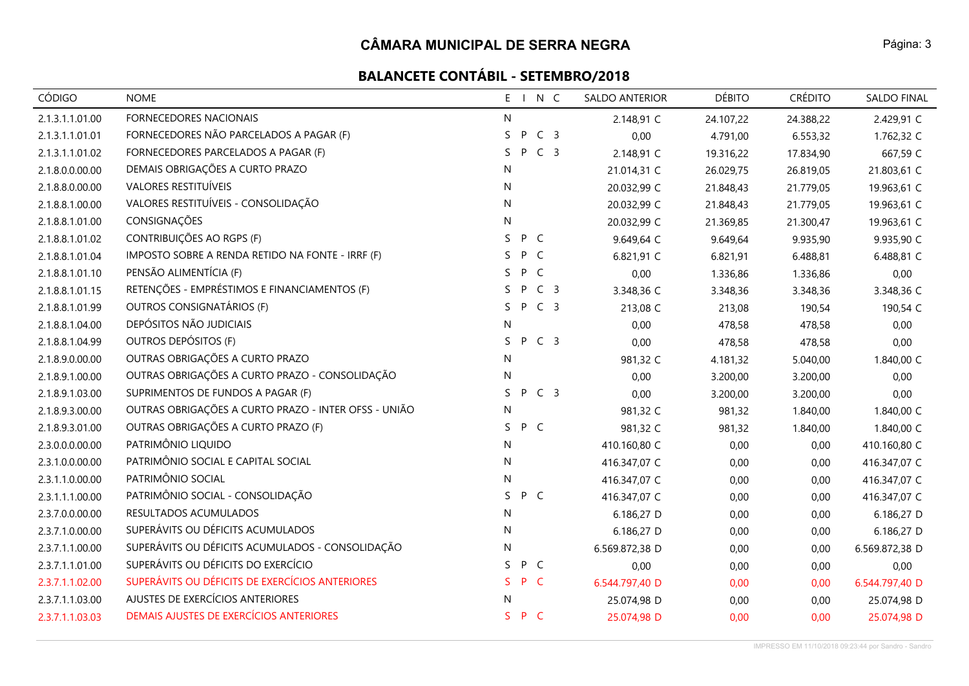# **BALANCETE CONTÁBIL - SETEMBRO/2018**

| <b>CÓDIGO</b>   | <b>NOME</b>                                          | $E - 1$ |     | N C            | <b>SALDO ANTERIOR</b> | <b>DÉBITO</b> | <b>CRÉDITO</b> | <b>SALDO FINAL</b> |
|-----------------|------------------------------------------------------|---------|-----|----------------|-----------------------|---------------|----------------|--------------------|
| 2.1.3.1.1.01.00 | FORNECEDORES NACIONAIS                               | N       |     |                | 2.148,91 C            | 24.107,22     | 24.388,22      | 2.429,91 C         |
| 2.1.3.1.1.01.01 | FORNECEDORES NÃO PARCELADOS A PAGAR (F)              | S       | P   | C <sub>3</sub> | 0,00                  | 4.791,00      | 6.553,32       | 1.762,32 C         |
| 2.1.3.1.1.01.02 | FORNECEDORES PARCELADOS A PAGAR (F)                  | S.      | P   | C <sub>3</sub> | 2.148,91 C            | 19.316,22     | 17.834,90      | 667,59 C           |
| 2.1.8.0.0.00.00 | DEMAIS OBRIGAÇÕES A CURTO PRAZO                      | N       |     |                | 21.014,31 C           | 26.029,75     | 26.819,05      | 21.803,61 C        |
| 2.1.8.8.0.00.00 | VALORES RESTITUÍVEIS                                 | N       |     |                | 20.032,99 C           | 21.848,43     | 21.779,05      | 19.963,61 C        |
| 2.1.8.8.1.00.00 | VALORES RESTITUÍVEIS - CONSOLIDAÇÃO                  | N       |     |                | 20.032,99 C           | 21.848,43     | 21.779,05      | 19.963,61 C        |
| 2.1.8.8.1.01.00 | CONSIGNAÇÕES                                         | N       |     |                | 20.032,99 C           | 21.369,85     | 21.300,47      | 19.963,61 C        |
| 2.1.8.8.1.01.02 | CONTRIBUIÇÕES AO RGPS (F)                            | S.      | P C |                | 9.649,64 C            | 9.649,64      | 9.935,90       | 9.935,90 C         |
| 2.1.8.8.1.01.04 | IMPOSTO SOBRE A RENDA RETIDO NA FONTE - IRRF (F)     | S.      | P C |                | 6.821,91 C            | 6.821,91      | 6.488,81       | 6.488,81 C         |
| 2.1.8.8.1.01.10 | PENSÃO ALIMENTÍCIA (F)                               | S.      | P   | C              | 0,00                  | 1.336,86      | 1.336,86       | 0,00               |
| 2.1.8.8.1.01.15 | RETENÇÕES - EMPRÉSTIMOS E FINANCIAMENTOS (F)         | S.      | P   | C <sub>3</sub> | 3.348,36 C            | 3.348,36      | 3.348,36       | 3.348,36 C         |
| 2.1.8.8.1.01.99 | OUTROS CONSIGNATÁRIOS (F)                            | S.      | P   | C <sub>3</sub> | 213,08 C              | 213,08        | 190,54         | 190,54 C           |
| 2.1.8.8.1.04.00 | DEPÓSITOS NÃO JUDICIAIS                              | N       |     |                | 0,00                  | 478,58        | 478,58         | 0,00               |
| 2.1.8.8.1.04.99 | OUTROS DEPÓSITOS (F)                                 | S.      |     | P C 3          | 0,00                  | 478,58        | 478,58         | 0,00               |
| 2.1.8.9.0.00.00 | OUTRAS OBRIGAÇÕES A CURTO PRAZO                      | N       |     |                | 981,32 C              | 4.181,32      | 5.040,00       | 1.840,00 C         |
| 2.1.8.9.1.00.00 | OUTRAS OBRIGAÇÕES A CURTO PRAZO - CONSOLIDAÇÃO       | N       |     |                | 0,00                  | 3.200,00      | 3.200,00       | 0,00               |
| 2.1.8.9.1.03.00 | SUPRIMENTOS DE FUNDOS A PAGAR (F)                    | S.      | P   | C <sub>3</sub> | 0,00                  | 3.200,00      | 3.200,00       | 0,00               |
| 2.1.8.9.3.00.00 | OUTRAS OBRIGAÇÕES A CURTO PRAZO - INTER OFSS - UNIÃO | N       |     |                | 981,32 C              | 981,32        | 1.840,00       | 1.840,00 C         |
| 2.1.8.9.3.01.00 | OUTRAS OBRIGAÇÕES A CURTO PRAZO (F)                  | S       | P C |                | 981,32 C              | 981,32        | 1.840,00       | 1.840,00 C         |
| 2.3.0.0.0.00.00 | PATRIMÔNIO LIQUIDO                                   | N       |     |                | 410.160,80 C          | 0,00          | 0,00           | 410.160,80 C       |
| 2.3.1.0.0.00.00 | PATRIMÔNIO SOCIAL E CAPITAL SOCIAL                   | N       |     |                | 416.347,07 C          | 0,00          | 0,00           | 416.347,07 C       |
| 2.3.1.1.0.00.00 | PATRIMÔNIO SOCIAL                                    | N       |     |                | 416.347,07 C          | 0,00          | 0,00           | 416.347,07 C       |
| 2.3.1.1.1.00.00 | PATRIMÔNIO SOCIAL - CONSOLIDAÇÃO                     | S       | P C |                | 416.347,07 C          | 0,00          | 0,00           | 416.347,07 C       |
| 2.3.7.0.0.00.00 | RESULTADOS ACUMULADOS                                | N       |     |                | 6.186,27 D            | 0,00          | 0,00           | 6.186,27 D         |
| 2.3.7.1.0.00.00 | SUPERÁVITS OU DÉFICITS ACUMULADOS                    | N       |     |                | 6.186,27 D            | 0,00          | 0,00           | 6.186,27 D         |
| 2.3.7.1.1.00.00 | SUPERÁVITS OU DÉFICITS ACUMULADOS - CONSOLIDAÇÃO     | N       |     |                | 6.569.872,38 D        | 0,00          | 0,00           | 6.569.872,38 D     |
| 2.3.7.1.1.01.00 | SUPERÁVITS OU DÉFICITS DO EXERCÍCIO                  | S.      | P C |                | 0,00                  | 0,00          | 0,00           | 0,00               |
| 2.3.7.1.1.02.00 | SUPERÁVITS OU DÉFICITS DE EXERCÍCIOS ANTERIORES      | S.      | P C |                | 6.544.797,40 D        | 0,00          | 0,00           | 6.544.797,40 D     |
| 2.3.7.1.1.03.00 | AJUSTES DE EXERCÍCIOS ANTERIORES                     | N       |     |                | 25.074,98 D           | 0,00          | 0,00           | 25.074,98 D        |
| 2.3.7.1.1.03.03 | DEMAIS AJUSTES DE EXERCÍCIOS ANTERIORES              | S.      | P C |                | 25.074,98 D           | 0,00          | 0,00           | 25.074,98 D        |

Página: 3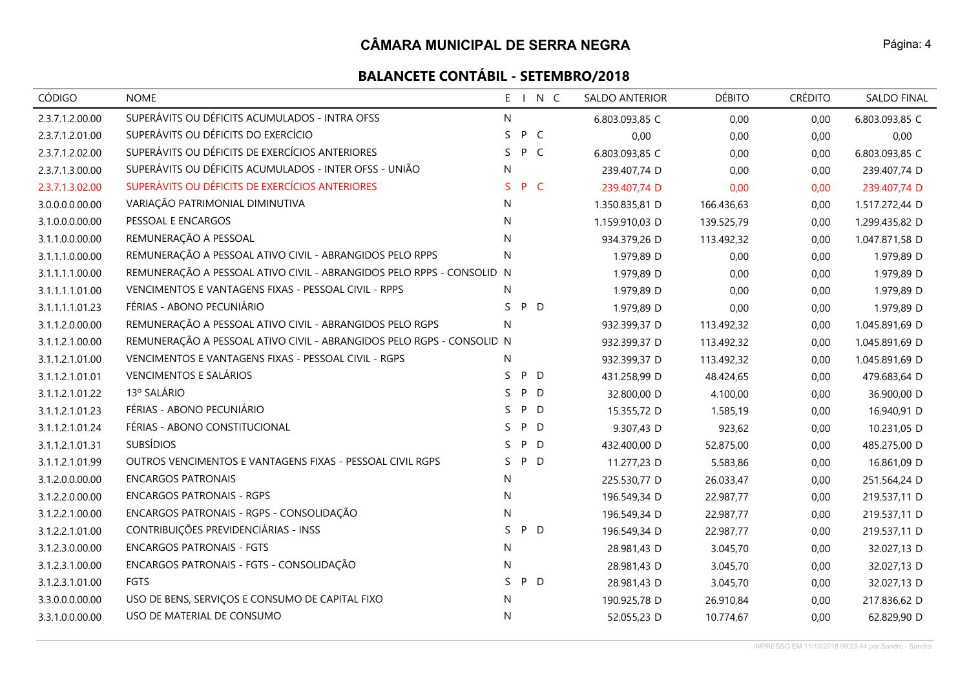| <b>CÓDIGO</b>   | <b>NOME</b>                                                            |    |     | E I N C | <b>SALDO ANTERIOR</b> | <b>DÉBITO</b> | <b>CRÉDITO</b> | <b>SALDO FINAL</b> |
|-----------------|------------------------------------------------------------------------|----|-----|---------|-----------------------|---------------|----------------|--------------------|
| 2.3.7.1.2.00.00 | SUPERÁVITS OU DÉFICITS ACUMULADOS - INTRA OFSS                         | N  |     |         | 6.803.093,85 C        | 0,00          | 0,00           | 6.803.093,85 C     |
| 2.3.7.1.2.01.00 | SUPERÁVITS OU DÉFICITS DO EXERCÍCIO                                    | S. | P C |         | 0,00                  | 0,00          | 0,00           | 0,00               |
| 2.3.7.1.2.02.00 | SUPERÁVITS OU DÉFICITS DE EXERCÍCIOS ANTERIORES                        | S. | P C |         | 6.803.093,85 C        | 0,00          | 0,00           | 6.803.093,85 C     |
| 2.3.7.1.3.00.00 | SUPERÁVITS OU DÉFICITS ACUMULADOS - INTER OFSS - UNIÃO                 | N  |     |         | 239.407,74 D          | 0,00          | 0,00           | 239.407,74 D       |
| 2.3.7.1.3.02.00 | SUPERÁVITS OU DÉFICITS DE EXERCÍCIOS ANTERIORES                        | S. | P C |         | 239.407,74 D          | 0,00          | 0,00           | 239.407,74 D       |
| 3.0.0.0.0.00.00 | VARIAÇÃO PATRIMONIAL DIMINUTIVA                                        | N  |     |         | 1.350.835,81 D        | 166.436,63    | 0,00           | 1.517.272,44 D     |
| 3.1.0.0.0.00.00 | PESSOAL E ENCARGOS                                                     | N  |     |         | 1.159.910,03 D        | 139.525,79    | 0,00           | 1.299.435,82 D     |
| 3.1.1.0.0.00.00 | REMUNERAÇÃO A PESSOAL                                                  | N  |     |         | 934.379,26 D          | 113.492,32    | 0,00           | 1.047.871,58 D     |
| 3.1.1.1.0.00.00 | REMUNERAÇÃO A PESSOAL ATIVO CIVIL - ABRANGIDOS PELO RPPS               | N  |     |         | 1.979,89 D            | 0,00          | 0,00           | 1.979,89 D         |
| 3.1.1.1.1.00.00 | REMUNERAÇÃO A PESSOAL ATIVO CIVIL - ABRANGIDOS PELO RPPS - CONSOLID. N |    |     |         | 1.979,89 D            | 0,00          | 0,00           | 1.979,89 D         |
| 3.1.1.1.1.01.00 | VENCIMENTOS E VANTAGENS FIXAS - PESSOAL CIVIL - RPPS                   | N  |     |         | 1.979,89 D            | 0,00          | 0,00           | 1.979,89 D         |
| 3.1.1.1.1.01.23 | FÉRIAS - ABONO PECUNIÁRIO                                              | S. | P D |         | 1.979,89 D            | 0,00          | 0,00           | 1.979,89 D         |
| 3.1.1.2.0.00.00 | REMUNERAÇÃO A PESSOAL ATIVO CIVIL - ABRANGIDOS PELO RGPS               | N  |     |         | 932.399,37 D          | 113.492,32    | 0,00           | 1.045.891,69 D     |
| 3.1.1.2.1.00.00 | REMUNERAÇÃO A PESSOAL ATIVO CIVIL - ABRANGIDOS PELO RGPS - CONSOLID N  |    |     |         | 932.399,37 D          | 113.492,32    | 0,00           | 1.045.891,69 D     |
| 3.1.1.2.1.01.00 | VENCIMENTOS E VANTAGENS FIXAS - PESSOAL CIVIL - RGPS                   | N  |     |         | 932.399,37 D          | 113.492,32    | 0,00           | 1.045.891,69 D     |
| 3.1.1.2.1.01.01 | <b>VENCIMENTOS E SALÁRIOS</b>                                          | S. | P D |         | 431.258,99 D          | 48.424,65     | 0,00           | 479.683,64 D       |
| 3.1.1.2.1.01.22 | 13º SALÁRIO                                                            | S  | P D |         | 32.800,00 D           | 4.100,00      | 0,00           | 36.900,00 D        |
| 3.1.1.2.1.01.23 | FÉRIAS - ABONO PECUNIÁRIO                                              | S. | P D |         | 15.355,72 D           | 1.585,19      | 0,00           | 16.940,91 D        |
| 3.1.1.2.1.01.24 | FÉRIAS - ABONO CONSTITUCIONAL                                          | S. | P D |         | 9.307,43 D            | 923,62        | 0,00           | 10.231,05 D        |
| 3.1.1.2.1.01.31 | <b>SUBSÍDIOS</b>                                                       | S. | P   | D       | 432.400,00 D          | 52.875,00     | 0,00           | 485.275,00 D       |
| 3.1.1.2.1.01.99 | OUTROS VENCIMENTOS E VANTAGENS FIXAS - PESSOAL CIVIL RGPS              | S. | P D |         | 11.277,23 D           | 5.583,86      | 0,00           | 16.861,09 D        |
| 3.1.2.0.0.00.00 | <b>ENCARGOS PATRONAIS</b>                                              | N  |     |         | 225.530,77 D          | 26.033,47     | 0,00           | 251.564,24 D       |
| 3.1.2.2.0.00.00 | <b>ENCARGOS PATRONAIS - RGPS</b>                                       | N  |     |         | 196.549,34 D          | 22.987,77     | 0,00           | 219.537,11 D       |
| 3.1.2.2.1.00.00 | ENCARGOS PATRONAIS - RGPS - CONSOLIDAÇÃO                               | N  |     |         | 196.549,34 D          | 22.987,77     | 0,00           | 219.537,11 D       |
| 3.1.2.2.1.01.00 | CONTRIBUIÇÕES PREVIDENCIÁRIAS - INSS                                   | S. | P D |         | 196.549,34 D          | 22.987,77     | 0,00           | 219.537,11 D       |
| 3.1.2.3.0.00.00 | <b>ENCARGOS PATRONAIS - FGTS</b>                                       | N  |     |         | 28.981,43 D           | 3.045,70      | 0,00           | 32.027,13 D        |
| 3.1.2.3.1.00.00 | ENCARGOS PATRONAIS - FGTS - CONSOLIDAÇÃO                               | N  |     |         | 28.981,43 D           | 3.045,70      | 0,00           | 32.027,13 D        |
| 3.1.2.3.1.01.00 | <b>FGTS</b>                                                            | S. | P D |         | 28.981,43 D           | 3.045,70      | 0,00           | 32.027,13 D        |
| 3.3.0.0.0.00.00 | USO DE BENS, SERVIÇOS E CONSUMO DE CAPITAL FIXO                        | N  |     |         | 190.925,78 D          | 26.910,84     | 0,00           | 217.836,62 D       |
| 3.3.1.0.0.00.00 | USO DE MATERIAL DE CONSUMO                                             | N  |     |         | 52.055,23 D           | 10.774,67     | 0,00           | 62.829,90 D        |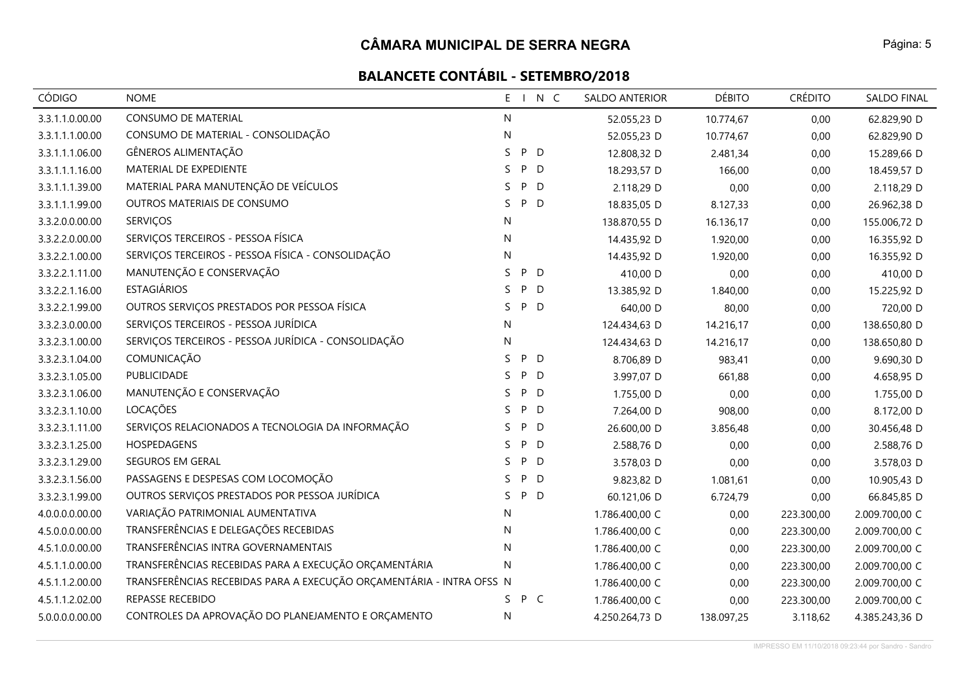# **BALANCETE CONTÁBIL - SETEMBRO/2018**

| <b>CÓDIGO</b>   | <b>NOME</b>                                                          | N C<br>$E = 1$ | SALDO ANTERIOR | <b>DÉBITO</b> | <b>CRÉDITO</b> | <b>SALDO FINAL</b> |
|-----------------|----------------------------------------------------------------------|----------------|----------------|---------------|----------------|--------------------|
| 3.3.1.1.0.00.00 | CONSUMO DE MATERIAL                                                  | N              | 52.055,23 D    | 10.774,67     | 0,00           | 62.829,90 D        |
| 3.3.1.1.1.00.00 | CONSUMO DE MATERIAL - CONSOLIDAÇÃO                                   | N              | 52.055,23 D    | 10.774,67     | 0,00           | 62.829,90 D        |
| 3.3.1.1.1.06.00 | GÊNEROS ALIMENTAÇÃO                                                  | P<br>S<br>D    | 12.808,32 D    | 2.481,34      | 0,00           | 15.289,66 D        |
| 3.3.1.1.1.16.00 | MATERIAL DE EXPEDIENTE                                               | P<br>D<br>S    | 18.293,57 D    | 166,00        | 0,00           | 18.459,57 D        |
| 3.3.1.1.1.39.00 | MATERIAL PARA MANUTENÇÃO DE VEÍCULOS                                 | P<br>D<br>S    | 2.118,29 D     | 0,00          | 0,00           | 2.118,29 D         |
| 3.3.1.1.1.99.00 | OUTROS MATERIAIS DE CONSUMO                                          | S.<br>P<br>D   | 18.835,05 D    | 8.127,33      | 0,00           | 26.962,38 D        |
| 3.3.2.0.0.00.00 | <b>SERVIÇOS</b>                                                      | N              | 138.870,55 D   | 16.136,17     | 0,00           | 155.006,72 D       |
| 3.3.2.2.0.00.00 | SERVIÇOS TERCEIROS - PESSOA FÍSICA                                   | N              | 14.435,92 D    | 1.920,00      | 0,00           | 16.355,92 D        |
| 3.3.2.2.1.00.00 | SERVIÇOS TERCEIROS - PESSOA FÍSICA - CONSOLIDAÇÃO                    | N              | 14.435,92 D    | 1.920,00      | 0,00           | 16.355,92 D        |
| 3.3.2.2.1.11.00 | MANUTENÇÃO E CONSERVAÇÃO                                             | P<br>S<br>D    | 410,00 D       | 0,00          | 0,00           | 410,00 D           |
| 3.3.2.2.1.16.00 | <b>ESTAGIÁRIOS</b>                                                   | S.<br>P<br>D   | 13.385,92 D    | 1.840,00      | 0,00           | 15.225,92 D        |
| 3.3.2.2.1.99.00 | OUTROS SERVIÇOS PRESTADOS POR PESSOA FÍSICA                          | D<br>S.<br>P   | 640,00 D       | 80,00         | 0,00           | 720,00 D           |
| 3.3.2.3.0.00.00 | SERVIÇOS TERCEIROS - PESSOA JURÍDICA                                 | N              | 124.434,63 D   | 14.216,17     | 0,00           | 138.650,80 D       |
| 3.3.2.3.1.00.00 | SERVIÇOS TERCEIROS - PESSOA JURÍDICA - CONSOLIDAÇÃO                  | N              | 124.434,63 D   | 14.216,17     | 0,00           | 138.650,80 D       |
| 3.3.2.3.1.04.00 | COMUNICAÇÃO                                                          | S<br>P<br>D    | 8.706,89 D     | 983,41        | 0,00           | 9.690,30 D         |
| 3.3.2.3.1.05.00 | PUBLICIDADE                                                          | P<br>S.<br>D   | 3.997,07 D     | 661,88        | 0,00           | 4.658,95 D         |
| 3.3.2.3.1.06.00 | MANUTENÇÃO E CONSERVAÇÃO                                             | S.<br>P<br>D   | 1.755,00 D     | 0,00          | 0,00           | 1.755,00 D         |
| 3.3.2.3.1.10.00 | LOCAÇÕES                                                             | P<br>D<br>S.   | 7.264,00 D     | 908,00        | 0,00           | 8.172,00 D         |
| 3.3.2.3.1.11.00 | SERVIÇOS RELACIONADOS A TECNOLOGIA DA INFORMAÇÃO                     | P<br>D<br>S    | 26.600,00 D    | 3.856,48      | 0,00           | 30.456,48 D        |
| 3.3.2.3.1.25.00 | HOSPEDAGENS                                                          | P<br>D<br>S    | 2.588,76 D     | 0,00          | 0,00           | 2.588,76 D         |
| 3.3.2.3.1.29.00 | SEGUROS EM GERAL                                                     | P<br>D<br>S.   | 3.578,03 D     | 0,00          | 0,00           | 3.578,03 D         |
| 3.3.2.3.1.56.00 | PASSAGENS E DESPESAS COM LOCOMOÇÃO                                   | P<br>S.<br>D   | 9.823,82 D     | 1.081,61      | 0,00           | 10.905,43 D        |
| 3.3.2.3.1.99.00 | OUTROS SERVIÇOS PRESTADOS POR PESSOA JURÍDICA                        | P D<br>S.      | 60.121,06 D    | 6.724,79      | 0,00           | 66.845,85 D        |
| 4.0.0.0.0.00.00 | VARIAÇÃO PATRIMONIAL AUMENTATIVA                                     | N              | 1.786.400,00 C | 0,00          | 223.300,00     | 2.009.700,00 C     |
| 4.5.0.0.0.00.00 | TRANSFERÊNCIAS E DELEGAÇÕES RECEBIDAS                                | N              | 1.786.400,00 C | 0,00          | 223.300,00     | 2.009.700,00 C     |
| 4.5.1.0.0.00.00 | TRANSFERÊNCIAS INTRA GOVERNAMENTAIS                                  | N              | 1.786.400,00 C | 0,00          | 223.300,00     | 2.009.700,00 C     |
| 4.5.1.1.0.00.00 | TRANSFERÊNCIAS RECEBIDAS PARA A EXECUÇÃO ORÇAMENTÁRIA                | N              | 1.786.400,00 C | 0,00          | 223.300,00     | 2.009.700,00 C     |
| 4.5.1.1.2.00.00 | TRANSFERÊNCIAS RECEBIDAS PARA A EXECUÇÃO ORÇAMENTÁRIA - INTRA OFSS N |                | 1.786.400,00 C | 0,00          | 223.300,00     | 2.009.700,00 C     |
| 4.5.1.1.2.02.00 | REPASSE RECEBIDO                                                     | P C<br>S.      | 1.786.400,00 C | 0,00          | 223.300,00     | 2.009.700,00 C     |
| 5.0.0.0.0.00.00 | CONTROLES DA APROVAÇÃO DO PLANEJAMENTO E ORÇAMENTO                   | N              | 4.250.264,73 D | 138.097,25    | 3.118,62       | 4.385.243,36 D     |

IMPRESSO EM 11/10/2018 09:23:44 por Sandro - Sandro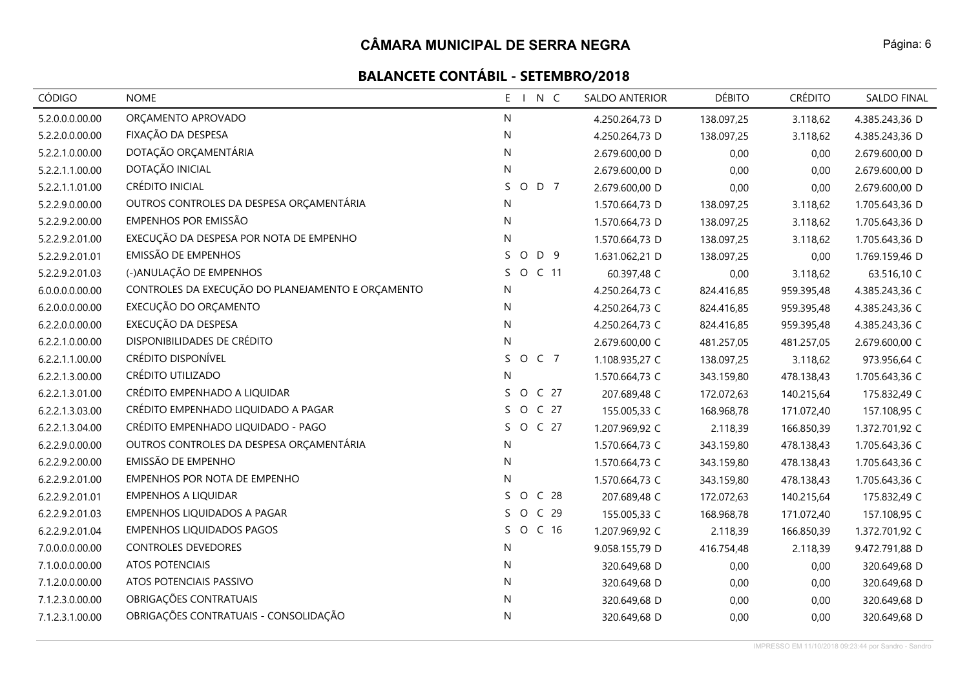| <b>CÓDIGO</b>   | <b>NOME</b>                                       | E I N C                          | SALDO ANTERIOR | <b>DÉBITO</b> | <b>CRÉDITO</b> | <b>SALDO FINAL</b> |
|-----------------|---------------------------------------------------|----------------------------------|----------------|---------------|----------------|--------------------|
| 5.2.0.0.0.00.00 | ORÇAMENTO APROVADO                                | N                                | 4.250.264,73 D | 138.097,25    | 3.118,62       | 4.385.243,36 D     |
| 5.2.2.0.0.00.00 | FIXAÇÃO DA DESPESA                                | N                                | 4.250.264,73 D | 138.097,25    | 3.118,62       | 4.385.243,36 D     |
| 5.2.2.1.0.00.00 | DOTAÇÃO ORÇAMENTÁRIA                              | N                                | 2.679.600,00 D | 0,00          | 0,00           | 2.679.600,00 D     |
| 5.2.2.1.1.00.00 | DOTAÇÃO INICIAL                                   | N                                | 2.679.600,00 D | 0,00          | 0,00           | 2.679.600,00 D     |
| 5.2.2.1.1.01.00 | CRÉDITO INICIAL                                   | S<br>O D 7                       | 2.679.600,00 D | 0,00          | 0,00           | 2.679.600,00 D     |
| 5.2.2.9.0.00.00 | OUTROS CONTROLES DA DESPESA ORÇAMENTÁRIA          | N                                | 1.570.664,73 D | 138.097,25    | 3.118,62       | 1.705.643,36 D     |
| 5.2.2.9.2.00.00 | <b>EMPENHOS POR EMISSÃO</b>                       | N                                | 1.570.664,73 D | 138.097,25    | 3.118,62       | 1.705.643,36 D     |
| 5.2.2.9.2.01.00 | EXECUÇÃO DA DESPESA POR NOTA DE EMPENHO           | N                                | 1.570.664,73 D | 138.097,25    | 3.118,62       | 1.705.643,36 D     |
| 5.2.2.9.2.01.01 | <b>EMISSÃO DE EMPENHOS</b>                        | O D 9<br>S.                      | 1.631.062,21 D | 138.097,25    | 0,00           | 1.769.159,46 D     |
| 5.2.2.9.2.01.03 | (-)ANULAÇÃO DE EMPENHOS                           | S.<br>O C 11                     | 60.397,48 C    | 0,00          | 3.118,62       | 63.516,10 C        |
| 6.0.0.0.0.00.00 | CONTROLES DA EXECUÇÃO DO PLANEJAMENTO E ORÇAMENTO | N                                | 4.250.264,73 C | 824.416,85    | 959.395,48     | 4.385.243,36 C     |
| 6.2.0.0.0.00.00 | EXECUÇÃO DO ORÇAMENTO                             | N                                | 4.250.264,73 C | 824.416,85    | 959.395,48     | 4.385.243,36 C     |
| 6.2.2.0.0.00.00 | EXECUÇÃO DA DESPESA                               | N                                | 4.250.264,73 C | 824.416,85    | 959.395,48     | 4.385.243,36 C     |
| 6.2.2.1.0.00.00 | DISPONIBILIDADES DE CRÉDITO                       | N                                | 2.679.600,00 C | 481.257,05    | 481.257,05     | 2.679.600,00 C     |
| 6.2.2.1.1.00.00 | CRÉDITO DISPONÍVEL                                | O C 7<br>S                       | 1.108.935,27 C | 138.097,25    | 3.118,62       | 973.956,64 C       |
| 6.2.2.1.3.00.00 | CRÉDITO UTILIZADO                                 | N                                | 1.570.664,73 C | 343.159,80    | 478.138,43     | 1.705.643,36 C     |
| 6.2.2.1.3.01.00 | CRÉDITO EMPENHADO A LIQUIDAR                      | O C 27<br>S.                     | 207.689,48 C   | 172.072,63    | 140.215,64     | 175.832,49 C       |
| 6.2.2.1.3.03.00 | CRÉDITO EMPENHADO LIQUIDADO A PAGAR               | $\circ$<br>C <sub>27</sub><br>S. | 155.005,33 C   | 168.968,78    | 171.072,40     | 157.108,95 C       |
| 6.2.2.1.3.04.00 | CRÉDITO EMPENHADO LIQUIDADO - PAGO                | O C 27<br>S.                     | 1.207.969,92 C | 2.118,39      | 166.850,39     | 1.372.701,92 C     |
| 6.2.2.9.0.00.00 | OUTROS CONTROLES DA DESPESA ORÇAMENTÁRIA          | N                                | 1.570.664,73 C | 343.159,80    | 478.138,43     | 1.705.643,36 C     |
| 6.2.2.9.2.00.00 | EMISSÃO DE EMPENHO                                | N                                | 1.570.664,73 C | 343.159,80    | 478.138,43     | 1.705.643,36 C     |
| 6.2.2.9.2.01.00 | EMPENHOS POR NOTA DE EMPENHO                      | N                                | 1.570.664,73 C | 343.159,80    | 478.138,43     | 1.705.643,36 C     |
| 6.2.2.9.2.01.01 | <b>EMPENHOS A LIQUIDAR</b>                        | C <sub>28</sub><br>S<br>$\circ$  | 207.689,48 C   | 172.072,63    | 140.215,64     | 175.832,49 C       |
| 6.2.2.9.2.01.03 | EMPENHOS LIQUIDADOS A PAGAR                       | $\circ$<br>C <sub>29</sub><br>S. | 155.005,33 C   | 168.968,78    | 171.072,40     | 157.108,95 C       |
| 6.2.2.9.2.01.04 | <b>EMPENHOS LIQUIDADOS PAGOS</b>                  | $\circ$<br>S.<br>C <sub>16</sub> | 1.207.969,92 C | 2.118,39      | 166.850,39     | 1.372.701,92 C     |
| 7.0.0.0.0.00.00 | <b>CONTROLES DEVEDORES</b>                        | N                                | 9.058.155,79 D | 416.754,48    | 2.118,39       | 9.472.791,88 D     |
| 7.1.0.0.0.00.00 | ATOS POTENCIAIS                                   | N                                | 320.649,68 D   | 0,00          | 0,00           | 320.649,68 D       |
| 7.1.2.0.0.00.00 | ATOS POTENCIAIS PASSIVO                           | N                                | 320.649,68 D   | 0,00          | 0,00           | 320.649,68 D       |
| 7.1.2.3.0.00.00 | OBRIGAÇÕES CONTRATUAIS                            | N                                | 320.649,68 D   | 0,00          | 0,00           | 320.649,68 D       |
| 7.1.2.3.1.00.00 | OBRIGAÇÕES CONTRATUAIS - CONSOLIDAÇÃO             | N                                | 320.649,68 D   | 0,00          | 0,00           | 320.649,68 D       |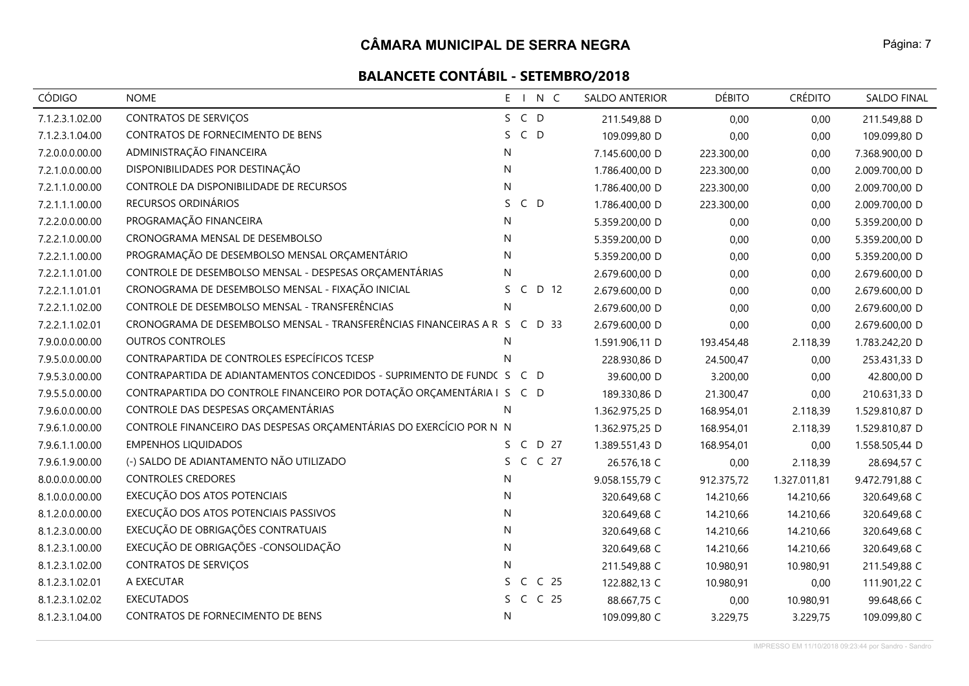| <b>CÓDIGO</b>   | <b>NOME</b>                                                               | E I N C                    | <b>SALDO ANTERIOR</b> | <b>DÉBITO</b> | <b>CRÉDITO</b> | <b>SALDO FINAL</b> |
|-----------------|---------------------------------------------------------------------------|----------------------------|-----------------------|---------------|----------------|--------------------|
| 7.1.2.3.1.02.00 | CONTRATOS DE SERVIÇOS                                                     | S C D                      | 211.549,88 D          | 0,00          | 0,00           | 211.549,88 D       |
| 7.1.2.3.1.04.00 | CONTRATOS DE FORNECIMENTO DE BENS                                         | $C$ D<br>S.                | 109.099,80 D          | 0,00          | 0,00           | 109.099,80 D       |
| 7.2.0.0.0.00.00 | ADMINISTRAÇÃO FINANCEIRA                                                  | N                          | 7.145.600,00 D        | 223.300,00    | 0,00           | 7.368.900,00 D     |
| 7.2.1.0.0.00.00 | DISPONIBILIDADES POR DESTINAÇÃO                                           | N                          | 1.786.400,00 D        | 223.300,00    | 0,00           | 2.009.700,00 D     |
| 7.2.1.1.0.00.00 | CONTROLE DA DISPONIBILIDADE DE RECURSOS                                   | ${\sf N}$                  | 1.786.400,00 D        | 223.300,00    | 0,00           | 2.009.700,00 D     |
| 7.2.1.1.1.00.00 | RECURSOS ORDINÁRIOS                                                       | S<br>$C$ D                 | 1.786.400,00 D        | 223.300,00    | 0,00           | 2.009.700,00 D     |
| 7.2.2.0.0.00.00 | PROGRAMAÇÃO FINANCEIRA                                                    | N                          | 5.359.200,00 D        | 0,00          | 0,00           | 5.359.200,00 D     |
| 7.2.2.1.0.00.00 | CRONOGRAMA MENSAL DE DESEMBOLSO                                           | N                          | 5.359.200,00 D        | 0,00          | 0,00           | 5.359.200,00 D     |
| 7.2.2.1.1.00.00 | PROGRAMAÇÃO DE DESEMBOLSO MENSAL ORÇAMENTÁRIO                             | N                          | 5.359.200,00 D        | 0,00          | 0,00           | 5.359.200,00 D     |
| 7.2.2.1.1.01.00 | CONTROLE DE DESEMBOLSO MENSAL - DESPESAS ORÇAMENTÁRIAS                    | N                          | 2.679.600,00 D        | 0,00          | 0,00           | 2.679.600,00 D     |
| 7.2.2.1.1.01.01 | CRONOGRAMA DE DESEMBOLSO MENSAL - FIXAÇÃO INICIAL                         | D 12<br>S.<br>C            | 2.679.600,00 D        | 0,00          | 0,00           | 2.679.600,00 D     |
| 7.2.2.1.1.02.00 | CONTROLE DE DESEMBOLSO MENSAL - TRANSFERÊNCIAS                            | N                          | 2.679.600,00 D        | 0,00          | 0,00           | 2.679.600,00 D     |
| 7.2.2.1.1.02.01 | CRONOGRAMA DE DESEMBOLSO MENSAL - TRANSFERÊNCIAS FINANCEIRAS A R S C D 33 |                            | 2.679.600,00 D        | 0,00          | 0,00           | 2.679.600,00 D     |
| 7.9.0.0.0.00.00 | <b>OUTROS CONTROLES</b>                                                   | N                          | 1.591.906,11 D        | 193.454,48    | 2.118,39       | 1.783.242,20 D     |
| 7.9.5.0.0.00.00 | CONTRAPARTIDA DE CONTROLES ESPECÍFICOS TCESP                              | N                          | 228.930,86 D          | 24.500,47     | 0,00           | 253.431,33 D       |
| 7.9.5.3.0.00.00 | CONTRAPARTIDA DE ADIANTAMENTOS CONCEDIDOS - SUPRIMENTO DE FUNDOS          | C D                        | 39.600,00 D           | 3.200,00      | 0,00           | 42.800,00 D        |
| 7.9.5.5.0.00.00 | CONTRAPARTIDA DO CONTROLE FINANCEIRO POR DOTAÇÃO ORÇAMENTÁRIA I S C D     |                            | 189.330,86 D          | 21.300,47     | 0,00           | 210.631,33 D       |
| 7.9.6.0.0.00.00 | CONTROLE DAS DESPESAS ORÇAMENTÁRIAS                                       | N                          | 1.362.975,25 D        | 168.954,01    | 2.118,39       | 1.529.810,87 D     |
| 7.9.6.1.0.00.00 | CONTROLE FINANCEIRO DAS DESPESAS ORÇAMENTÁRIAS DO EXERCÍCIO POR N N       |                            | 1.362.975,25 D        | 168.954,01    | 2.118,39       | 1.529.810,87 D     |
| 7.9.6.1.1.00.00 | <b>EMPENHOS LIQUIDADOS</b>                                                | $\mathsf{C}$<br>D 27<br>S. | 1.389.551,43 D        | 168.954,01    | 0,00           | 1.558.505,44 D     |
| 7.9.6.1.9.00.00 | (-) SALDO DE ADIANTAMENTO NÃO UTILIZADO                                   | C C 27<br>S                | 26.576,18 C           | 0,00          | 2.118,39       | 28.694,57 C        |
| 8.0.0.0.0.00.00 | <b>CONTROLES CREDORES</b>                                                 | N                          | 9.058.155,79 C        | 912.375,72    | 1.327.011,81   | 9.472.791,88 C     |
| 8.1.0.0.0.00.00 | EXECUÇÃO DOS ATOS POTENCIAIS                                              | N                          | 320.649,68 C          | 14.210,66     | 14.210,66      | 320.649,68 C       |
| 8.1.2.0.0.00.00 | EXECUÇÃO DOS ATOS POTENCIAIS PASSIVOS                                     | N                          | 320.649,68 C          | 14.210,66     | 14.210,66      | 320.649,68 C       |
| 8.1.2.3.0.00.00 | EXECUÇÃO DE OBRIGAÇÕES CONTRATUAIS                                        | N                          | 320.649,68 C          | 14.210,66     | 14.210,66      | 320.649,68 C       |
| 8.1.2.3.1.00.00 | EXECUÇÃO DE OBRIGAÇÕES - CONSOLIDAÇÃO                                     | ${\sf N}$                  | 320.649,68 C          | 14.210,66     | 14.210,66      | 320.649,68 C       |
| 8.1.2.3.1.02.00 | CONTRATOS DE SERVIÇOS                                                     | N                          | 211.549,88 C          | 10.980,91     | 10.980,91      | 211.549,88 C       |
| 8.1.2.3.1.02.01 | A EXECUTAR                                                                | C <sub>25</sub><br>S.<br>C | 122.882,13 C          | 10.980,91     | 0,00           | 111.901,22 C       |
| 8.1.2.3.1.02.02 | <b>EXECUTADOS</b>                                                         | C C 25<br>S.               | 88.667,75 C           | 0,00          | 10.980,91      | 99.648,66 C        |
| 8.1.2.3.1.04.00 | CONTRATOS DE FORNECIMENTO DE BENS                                         | N                          | 109.099,80 C          | 3.229,75      | 3.229,75       | 109.099,80 C       |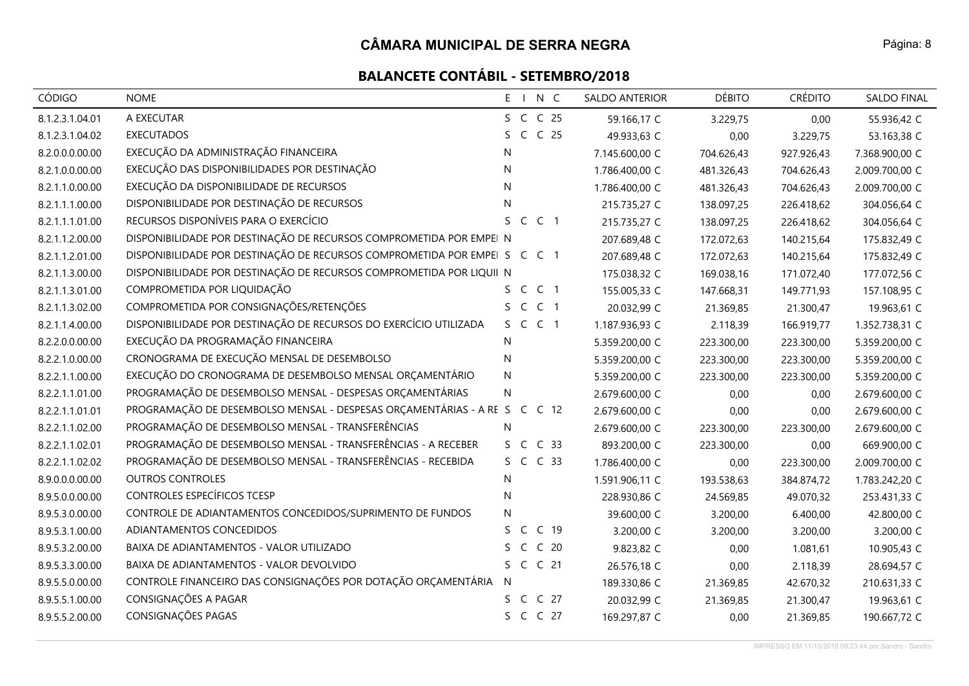| <b>CÓDIGO</b>   | <b>NOME</b>                                                               | E I N C                              | SALDO ANTERIOR | <b>DÉBITO</b> | <b>CRÉDITO</b> | SALDO FINAL    |
|-----------------|---------------------------------------------------------------------------|--------------------------------------|----------------|---------------|----------------|----------------|
| 8.1.2.3.1.04.01 | A EXECUTAR                                                                | S C C 25                             | 59.166,17 C    | 3.229,75      | 0,00           | 55.936,42 C    |
| 8.1.2.3.1.04.02 | <b>EXECUTADOS</b>                                                         | C C 25<br>S.                         | 49.933,63 C    | 0,00          | 3.229,75       | 53.163,38 C    |
| 8.2.0.0.0.00.00 | EXECUÇÃO DA ADMINISTRAÇÃO FINANCEIRA                                      | N                                    | 7.145.600,00 C | 704.626,43    | 927.926,43     | 7.368.900,00 C |
| 8.2.1.0.0.00.00 | EXECUÇÃO DAS DISPONIBILIDADES POR DESTINAÇÃO                              | N                                    | 1.786.400,00 C | 481.326,43    | 704.626,43     | 2.009.700,00 C |
| 8.2.1.1.0.00.00 | EXECUÇÃO DA DISPONIBILIDADE DE RECURSOS                                   | ${\sf N}$                            | 1.786.400,00 C | 481.326,43    | 704.626,43     | 2.009.700,00 C |
| 8.2.1.1.1.00.00 | DISPONIBILIDADE POR DESTINAÇÃO DE RECURSOS                                | N                                    | 215.735,27 C   | 138.097,25    | 226.418,62     | 304.056,64 C   |
| 8.2.1.1.1.01.00 | RECURSOS DISPONÍVEIS PARA O EXERCÍCIO                                     | S.<br>$\mathsf{C}$<br>C <sub>1</sub> | 215.735,27 C   | 138.097,25    | 226.418,62     | 304.056,64 C   |
| 8.2.1.1.2.00.00 | DISPONIBILIDADE POR DESTINAÇÃO DE RECURSOS COMPROMETIDA POR EMPEI N       |                                      | 207.689,48 C   | 172.072,63    | 140.215,64     | 175.832,49 C   |
| 8.2.1.1.2.01.00 | DISPONIBILIDADE POR DESTINAÇÃO DE RECURSOS COMPROMETIDA POR EMPEI S C C 1 |                                      | 207.689,48 C   | 172.072,63    | 140.215,64     | 175.832,49 C   |
| 8.2.1.1.3.00.00 | DISPONIBILIDADE POR DESTINAÇÃO DE RECURSOS COMPROMETIDA POR LIQUII N      |                                      | 175.038,32 C   | 169.038,16    | 171.072,40     | 177.072,56 C   |
| 8.2.1.1.3.01.00 | COMPROMETIDA POR LIQUIDAÇÃO                                               | S C C 1                              | 155.005,33 C   | 147.668,31    | 149.771,93     | 157.108,95 C   |
| 8.2.1.1.3.02.00 | COMPROMETIDA POR CONSIGNAÇÕES/RETENÇÕES                                   | S C C 1                              | 20.032,99 C    | 21.369,85     | 21.300,47      | 19.963,61 C    |
| 8.2.1.1.4.00.00 | DISPONIBILIDADE POR DESTINAÇÃO DE RECURSOS DO EXERCÍCIO UTILIZADA         | S C C 1                              | 1.187.936,93 C | 2.118,39      | 166.919,77     | 1.352.738,31 C |
| 8.2.2.0.0.00.00 | EXECUÇÃO DA PROGRAMAÇÃO FINANCEIRA                                        | N                                    | 5.359.200,00 C | 223.300,00    | 223.300,00     | 5.359.200,00 C |
| 8.2.2.1.0.00.00 | CRONOGRAMA DE EXECUÇÃO MENSAL DE DESEMBOLSO                               | N                                    | 5.359.200,00 C | 223.300,00    | 223.300,00     | 5.359.200,00 C |
| 8.2.2.1.1.00.00 | EXECUÇÃO DO CRONOGRAMA DE DESEMBOLSO MENSAL ORÇAMENTÁRIO                  | N                                    | 5.359.200,00 C | 223.300,00    | 223.300,00     | 5.359.200,00 C |
| 8.2.2.1.1.01.00 | PROGRAMAÇÃO DE DESEMBOLSO MENSAL - DESPESAS ORÇAMENTÁRIAS                 | N                                    | 2.679.600,00 C | 0,00          | 0,00           | 2.679.600,00 C |
| 8.2.2.1.1.01.01 | PROGRAMAÇÃO DE DESEMBOLSO MENSAL - DESPESAS ORÇAMENTÁRIAS - A RE S        | C C 12                               | 2.679.600,00 C | 0,00          | 0,00           | 2.679.600,00 C |
| 8.2.2.1.1.02.00 | PROGRAMAÇÃO DE DESEMBOLSO MENSAL - TRANSFERÊNCIAS                         | N.                                   | 2.679.600,00 C | 223.300,00    | 223.300,00     | 2.679.600,00 C |
| 8.2.2.1.1.02.01 | PROGRAMAÇÃO DE DESEMBOLSO MENSAL - TRANSFERÊNCIAS - A RECEBER             | C <sub>33</sub><br>S C               | 893.200,00 C   | 223.300,00    | 0,00           | 669.900,00 C   |
| 8.2.2.1.1.02.02 | PROGRAMAÇÃO DE DESEMBOLSO MENSAL - TRANSFERÊNCIAS - RECEBIDA              | S C C 33                             | 1.786.400,00 C | 0,00          | 223.300,00     | 2.009.700,00 C |
| 8.9.0.0.0.00.00 | <b>OUTROS CONTROLES</b>                                                   | N                                    | 1.591.906,11 C | 193.538,63    | 384.874,72     | 1.783.242,20 C |
| 8.9.5.0.0.00.00 | CONTROLES ESPECÍFICOS TCESP                                               | N                                    | 228.930,86 C   | 24.569,85     | 49.070,32      | 253.431,33 C   |
| 8.9.5.3.0.00.00 | CONTROLE DE ADIANTAMENTOS CONCEDIDOS/SUPRIMENTO DE FUNDOS                 | N                                    | 39.600,00 C    | 3.200,00      | 6.400,00       | 42.800,00 C    |
| 8.9.5.3.1.00.00 | ADIANTAMENTOS CONCEDIDOS                                                  | C <sub>19</sub><br>S.<br>C           | 3.200,00 C     | 3.200,00      | 3.200,00       | 3.200,00 C     |
| 8.9.5.3.2.00.00 | BAIXA DE ADIANTAMENTOS - VALOR UTILIZADO                                  | C <sub>20</sub><br>C                 | 9.823,82 C     | 0,00          | 1.081,61       | 10.905,43 C    |
| 8.9.5.3.3.00.00 | BAIXA DE ADIANTAMENTOS - VALOR DEVOLVIDO                                  | S C C 21                             | 26.576,18 C    | 0,00          | 2.118,39       | 28.694,57 C    |
| 8.9.5.5.0.00.00 | CONTROLE FINANCEIRO DAS CONSIGNAÇÕES POR DOTAÇÃO ORÇAMENTÁRIA             | N                                    | 189.330,86 C   | 21.369,85     | 42.670,32      | 210.631,33 C   |
| 8.9.5.5.1.00.00 | CONSIGNAÇÕES A PAGAR                                                      | S C C 27                             | 20.032,99 C    | 21.369,85     | 21.300,47      | 19.963,61 C    |
| 8.9.5.5.2.00.00 | CONSIGNAÇÕES PAGAS                                                        | S C C 27                             | 169.297,87 C   | 0,00          | 21.369,85      | 190.667,72 C   |